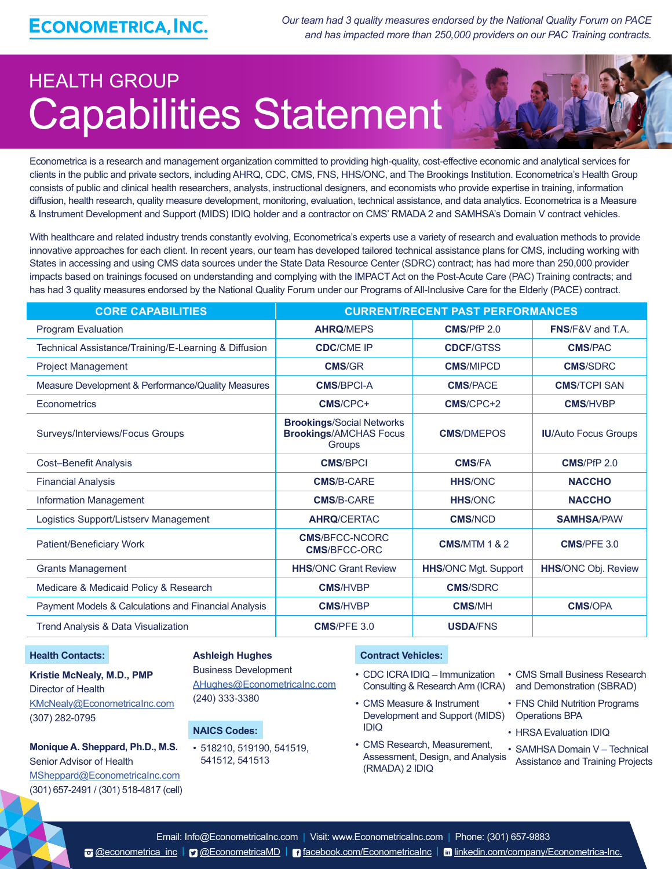*Our team had 3 quality measures endorsed by the National Quality Forum on PACE and has impacted more than 250,000 providers on our PAC Training contracts.*

# HEALTH GROUP Capabilities Statement



Econometrica is a research and management organization committed to providing high-quality, cost-effective economic and analytical services for clients in the public and private sectors, including AHRQ, CDC, CMS, FNS, HHS/ONC, and The Brookings Institution. Econometrica's Health Group consists of public and clinical health researchers, analysts, instructional designers, and economists who provide expertise in training, information diffusion, health research, quality measure development, monitoring, evaluation, technical assistance, and data analytics. Econometrica is a Measure & Instrument Development and Support (MIDS) IDIQ holder and a contractor on CMS' RMADA 2 and SAMHSA's Domain V contract vehicles.

With healthcare and related industry trends constantly evolving, Econometrica's experts use a variety of research and evaluation methods to provide innovative approaches for each client. In recent years, our team has developed tailored technical assistance plans for CMS, including working with States in accessing and using CMS data sources under the State Data Resource Center (SDRC) contract; has had more than 250,000 provider impacts based on trainings focused on understanding and complying with the IMPACT Act on the Post-Acute Care (PAC) Training contracts; and has had 3 quality measures endorsed by the National Quality Forum under our Programs of All-Inclusive Care for the Elderly (PACE) contract.

| <b>CORE CAPABILITIES</b>                             | <b>CURRENT/RECENT PAST PERFORMANCES</b>                                     |                             |                             |
|------------------------------------------------------|-----------------------------------------------------------------------------|-----------------------------|-----------------------------|
| <b>Program Evaluation</b>                            | <b>AHRQ/MEPS</b>                                                            | CMS/PfP 2.0                 | FNS/F&V and T.A.            |
| Technical Assistance/Training/E-Learning & Diffusion | <b>CDC/CME IP</b>                                                           | <b>CDCF/GTSS</b>            | <b>CMS/PAC</b>              |
| <b>Project Management</b>                            | <b>CMS/GR</b>                                                               | <b>CMS/MIPCD</b>            | <b>CMS/SDRC</b>             |
| Measure Development & Performance/Quality Measures   | <b>CMS/BPCI-A</b>                                                           | <b>CMS/PACE</b>             | <b>CMS/TCPI SAN</b>         |
| Econometrics                                         | CMS/CPC+                                                                    | CMS/CPC+2                   | <b>CMS/HVBP</b>             |
| Surveys/Interviews/Focus Groups                      | <b>Brookings/Social Networks</b><br><b>Brookings/AMCHAS Focus</b><br>Groups | <b>CMS/DMEPOS</b>           | <b>IU/Auto Focus Groups</b> |
| <b>Cost-Benefit Analysis</b>                         | <b>CMS/BPCI</b>                                                             | <b>CMS/FA</b>               | <b>CMS/PfP 2.0</b>          |
| <b>Financial Analysis</b>                            | <b>CMS/B-CARE</b>                                                           | <b>HHS/ONC</b>              | <b>NACCHO</b>               |
| <b>Information Management</b>                        | <b>CMS/B-CARE</b>                                                           | <b>HHS/ONC</b>              | <b>NACCHO</b>               |
| Logistics Support/Listserv Management                | <b>AHRQ/CERTAC</b>                                                          | <b>CMS/NCD</b>              | <b>SAMHSA/PAW</b>           |
| Patient/Beneficiary Work                             | <b>CMS/BFCC-NCORC</b><br><b>CMS/BFCC-ORC</b>                                | <b>CMS/MTM 1 &amp; 2</b>    | <b>CMS/PFE 3.0</b>          |
| <b>Grants Management</b>                             | <b>HHS/ONC Grant Review</b>                                                 | <b>HHS/ONC Mgt. Support</b> | <b>HHS/ONC Obj. Review</b>  |
| Medicare & Medicaid Policy & Research                | <b>CMS/HVBP</b>                                                             | <b>CMS/SDRC</b>             |                             |
| Payment Models & Calculations and Financial Analysis | <b>CMS/HVBP</b>                                                             | <b>CMS/MH</b>               | <b>CMS/OPA</b>              |
| Trend Analysis & Data Visualization                  | <b>CMS/PFE 3.0</b>                                                          | <b>USDA/FNS</b>             |                             |

#### **Health Contacts:**

## **Kristie McNealy, M.D., PMP**  Director of Health [KMcNealy@EconometricaInc.com](mailto:KMcNealy@EconometricaInc.com) (307) 282-0795

**Monique A. Sheppard, Ph.D., M.S.**  Senior Advisor of Health [MSheppard@EconometricaInc.com](mailto:MSheppard@EconometricaInc.com) (301) 657-2491 / (301) 518-4817 (cell)

#### **Ashleigh Hughes**

Business Development [AHughes@EconometricaInc.com](mailto:AHughes@EconometricaInc.com) (240) 333-3380

## **NAICS Codes:**

• 518210, 519190, 541519, 541512, 541513

#### **Contract Vehicles:**

• CDC ICRA IDIQ – Immunization Consulting & Research Arm (ICRA) and Demonstration (SBRAD)

- CMS Measure & Instrument Development and Support (MIDS) Operations BPA IDIQ
- CMS Research, Measurement, Assessment, Design, and Analysis (RMADA) 2 IDIQ
- CMS Small Business Research
- FNS Child Nutrition Programs
- HRSA Evaluation IDIQ
	- SAMHSA Domain V Technical Assistance and Training Projects